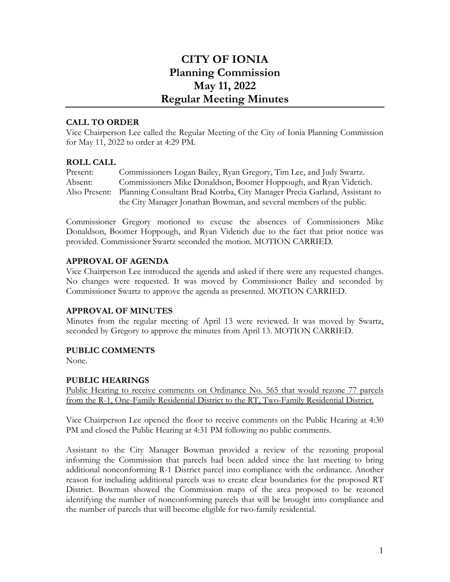# **CITY OF IONIA Planning Commission May 11, 2022 Regular Meeting Minutes**

## **CALL TO ORDER**

Vice Chairperson Lee called the Regular Meeting of the City of Ionia Planning Commission for May 11, 2022 to order at 4:29 PM.

## **ROLL CALL**

| Present: | Commissioners Logan Bailey, Ryan Gregory, Tim Lee, and Judy Swartz.                      |
|----------|------------------------------------------------------------------------------------------|
| Absent:  | Commissioners Mike Donaldson, Boomer Hoppough, and Ryan Videtich.                        |
|          | Also Present: Planning Consultant Brad Kotrba, City Manager Precia Garland, Assistant to |
|          | the City Manager Jonathan Bowman, and several members of the public.                     |

Commissioner Gregory motioned to excuse the absences of Commissioners Mike Donaldson, Boomer Hoppough, and Ryan Videtich due to the fact that prior notice was provided. Commissioner Swartz seconded the motion. MOTION CARRIED.

## **APPROVAL OF AGENDA**

Vice Chairperson Lee introduced the agenda and asked if there were any requested changes. No changes were requested. It was moved by Commissioner Bailey and seconded by Commissioner Swartz to approve the agenda as presented. MOTION CARRIED.

## **APPROVAL OF MINUTES**

Minutes from the regular meeting of April 13 were reviewed. It was moved by Swartz, seconded by Gregory to approve the minutes from April 13. MOTION CARRIED.

## **PUBLIC COMMENTS**

None.

## **PUBLIC HEARINGS**

Public Hearing to receive comments on Ordinance No. 565 that would rezone 77 parcels from the R-1, One-Family Residential District to the RT, Two-Family Residential District.

Vice Chairperson Lee opened the floor to receive comments on the Public Hearing at 4:30 PM and closed the Public Hearing at 4:31 PM following no public comments.

Assistant to the City Manager Bowman provided a review of the rezoning proposal informing the Commission that parcels had been added since the last meeting to bring additional nonconforming R-1 District parcel into compliance with the ordinance. Another reason for including additional parcels was to create clear boundaries for the proposed RT District. Bowman showed the Commission maps of the area proposed to be rezoned identifying the number of nonconforming parcels that will be brought into compliance and the number of parcels that will become eligible for two-family residential.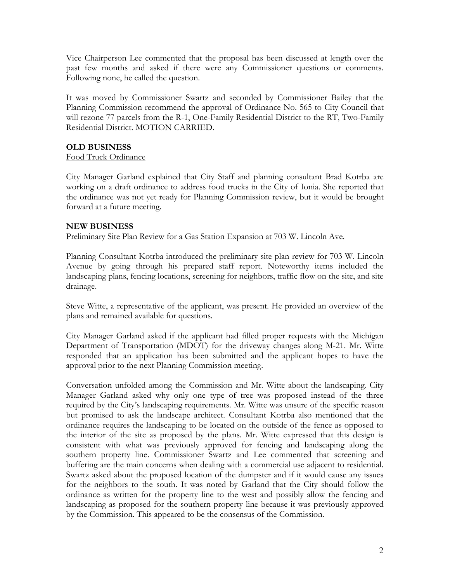Vice Chairperson Lee commented that the proposal has been discussed at length over the past few months and asked if there were any Commissioner questions or comments. Following none, he called the question.

It was moved by Commissioner Swartz and seconded by Commissioner Bailey that the Planning Commission recommend the approval of Ordinance No. 565 to City Council that will rezone 77 parcels from the R-1, One-Family Residential District to the RT, Two-Family Residential District. MOTION CARRIED.

## **OLD BUSINESS**

## Food Truck Ordinance

City Manager Garland explained that City Staff and planning consultant Brad Kotrba are working on a draft ordinance to address food trucks in the City of Ionia. She reported that the ordinance was not yet ready for Planning Commission review, but it would be brought forward at a future meeting.

## **NEW BUSINESS**

## Preliminary Site Plan Review for a Gas Station Expansion at 703 W. Lincoln Ave.

Planning Consultant Kotrba introduced the preliminary site plan review for 703 W. Lincoln Avenue by going through his prepared staff report. Noteworthy items included the landscaping plans, fencing locations, screening for neighbors, traffic flow on the site, and site drainage.

Steve Witte, a representative of the applicant, was present. He provided an overview of the plans and remained available for questions.

City Manager Garland asked if the applicant had filled proper requests with the Michigan Department of Transportation (MDOT) for the driveway changes along M-21. Mr. Witte responded that an application has been submitted and the applicant hopes to have the approval prior to the next Planning Commission meeting.

Conversation unfolded among the Commission and Mr. Witte about the landscaping. City Manager Garland asked why only one type of tree was proposed instead of the three required by the City's landscaping requirements. Mr. Witte was unsure of the specific reason but promised to ask the landscape architect. Consultant Kotrba also mentioned that the ordinance requires the landscaping to be located on the outside of the fence as opposed to the interior of the site as proposed by the plans. Mr. Witte expressed that this design is consistent with what was previously approved for fencing and landscaping along the southern property line. Commissioner Swartz and Lee commented that screening and buffering are the main concerns when dealing with a commercial use adjacent to residential. Swartz asked about the proposed location of the dumpster and if it would cause any issues for the neighbors to the south. It was noted by Garland that the City should follow the ordinance as written for the property line to the west and possibly allow the fencing and landscaping as proposed for the southern property line because it was previously approved by the Commission. This appeared to be the consensus of the Commission.